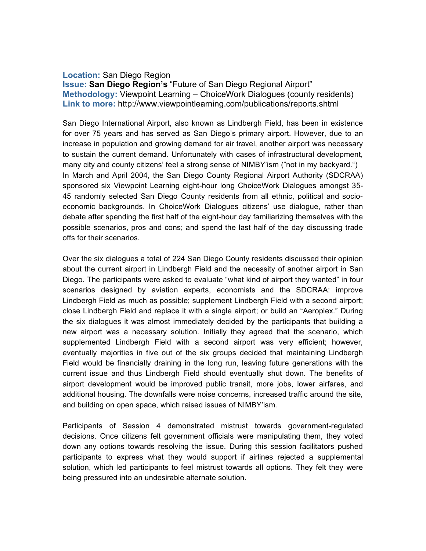## **Location:** San Diego Region

**Issue: San Diego Region's** "Future of San Diego Regional Airport" **Methodology:** Viewpoint Learning – ChoiceWork Dialogues (county residents) **Link to more:** http://www.viewpointlearning.com/publications/reports.shtml

San Diego International Airport, also known as Lindbergh Field, has been in existence for over 75 years and has served as San Diego's primary airport. However, due to an increase in population and growing demand for air travel, another airport was necessary to sustain the current demand. Unfortunately with cases of infrastructural development, many city and county citizens' feel a strong sense of NIMBY'ism ("not in my backyard.") In March and April 2004, the San Diego County Regional Airport Authority (SDCRAA) sponsored six Viewpoint Learning eight-hour long ChoiceWork Dialogues amongst 35- 45 randomly selected San Diego County residents from all ethnic, political and socioeconomic backgrounds. In ChoiceWork Dialogues citizens' use dialogue, rather than debate after spending the first half of the eight-hour day familiarizing themselves with the possible scenarios, pros and cons; and spend the last half of the day discussing trade offs for their scenarios.

Over the six dialogues a total of 224 San Diego County residents discussed their opinion about the current airport in Lindbergh Field and the necessity of another airport in San Diego. The participants were asked to evaluate "what kind of airport they wanted" in four scenarios designed by aviation experts, economists and the SDCRAA: improve Lindbergh Field as much as possible; supplement Lindbergh Field with a second airport; close Lindbergh Field and replace it with a single airport; or build an "Aeroplex." During the six dialogues it was almost immediately decided by the participants that building a new airport was a necessary solution. Initially they agreed that the scenario, which supplemented Lindbergh Field with a second airport was very efficient; however, eventually majorities in five out of the six groups decided that maintaining Lindbergh Field would be financially draining in the long run, leaving future generations with the current issue and thus Lindbergh Field should eventually shut down. The benefits of airport development would be improved public transit, more jobs, lower airfares, and additional housing. The downfalls were noise concerns, increased traffic around the site, and building on open space, which raised issues of NIMBY'ism.

Participants of Session 4 demonstrated mistrust towards government-regulated decisions. Once citizens felt government officials were manipulating them, they voted down any options towards resolving the issue. During this session facilitators pushed participants to express what they would support if airlines rejected a supplemental solution, which led participants to feel mistrust towards all options. They felt they were being pressured into an undesirable alternate solution.